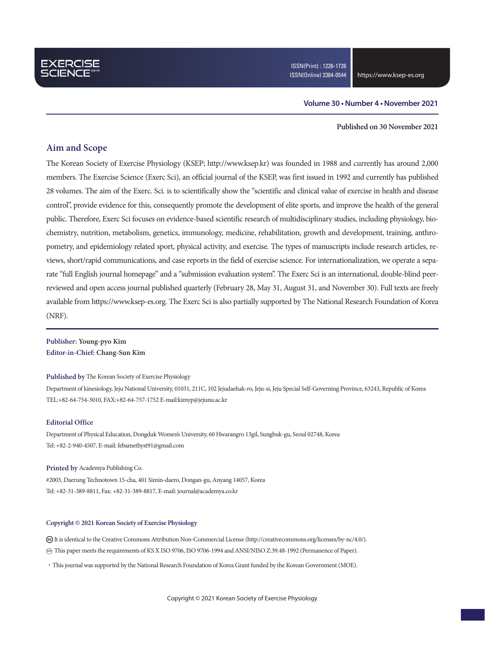### **Volume 30 • Number 4 • November 2021**

**Published on 30 November 2021**

### **Aim and Scope**

The Korean Society of Exercise Physiology (KSEP; http://www.ksep.kr) was founded in 1988 and currently has around 2,000 members. The Exercise Science (Exerc Sci), an official journal of the KSEP, was first issued in 1992 and currently has published 28 volumes. The aim of the Exerc. Sci. is to scientifically show the "scientific and clinical value of exercise in health and disease control", provide evidence for this, consequently promote the development of elite sports, and improve the health of the general public. Therefore, Exerc Sci focuses on evidence-based scientific research of multidisciplinary studies, including physiology, biochemistry, nutrition, metabolism, genetics, immunology, medicine, rehabilitation, growth and development, training, anthropometry, and epidemiology related sport, physical activity, and exercise. The types of manuscripts include research articles, reviews, short/rapid communications, and case reports in the field of exercise science. For internationalization, we operate a separate "full English journal homepage" and a "submission evaluation system". The Exerc Sci is an international, double-blind peerreviewed and open access journal published quarterly (February 28, May 31, August 31, and November 30). Full texts are freely available from https://www.ksep-es.org. The Exerc Sci is also partially supported by The National Research Foundation of Korea (NRF).

**Publisher: Young-pyo Kim Editor-in-Chief: Chang-Sun Kim**

#### **Published by** The Korean Society of Exercise Physiology

Department of kinesiology, Jeju National University, 01031, 211C, 102 Jejudaehak-ro, Jeju-si, Jeju Special Self-Governing Province, 63243, Republic of Korea TEL:+82-64-754-3010, FAX:+82-64-757-1752 E-mail:kimyp@jejunu.ac.kr

### **Editorial Office**

Department of Physical Education, Dongduk Women's University, 60 Hwarangro 13gil, Sungbuk-gu, Seoul 02748, Korea Tel: +82-2-940-4507, E-mail: febamethyst91@gmail.com

#### **Printed by** Academya Publishing Co.

#2003, Daerung Technotown 15-cha, 401 Simin-daero, Dongan-gu, Anyang 14057, Korea Tel: +82-31-389-8811, Fax: +82-31-389-8817, E-mail: journal@academya.co.kr

#### **Copyright © 2021 Korean Society of Exercise Physiology**

 It is identical to the Creative Commons Attribution Non-Commercial License (http://creativecommons.org/licenses/by-nc/4.0/). ∞ This paper meets the requirements of KS X ISO 9706, ISO 9706-1994 and ANSI/NISO Z.39.48-1992 (Permanence of Paper).

·This journal was supported by the National Research Foundation of Korea Grant funded by the Korean Government (MOE).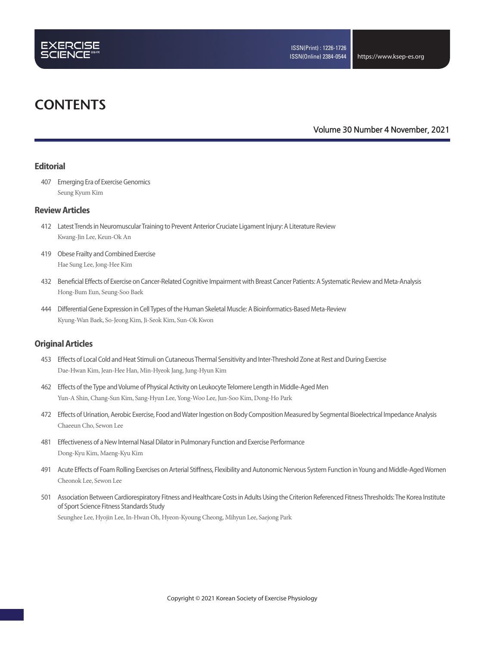

# **CONTENTS**

### **Volume 30 Number 4 November, 2021**

### **Editorial**

407 Emerging Era of Exercise Genomics Seung Kyum Kim

### **Review Articles**

- 412 Latest Trends in Neuromuscular Training to Prevent Anterior Cruciate Ligament Injury: A Literature Review Kwang-Jin Lee, Keun-Ok An
- 419 Obese Frailty and Combined Exercise Hae Sung Lee, Jong-Hee Kim
- 432 Beneficial Effects of Exercise on Cancer-Related Cognitive Impairment with Breast Cancer Patients: A Systematic Review and Meta-Analysis Hong-Bum Eun, Seung-Soo Baek
- 444 Differential Gene Expression in Cell Types of the Human Skeletal Muscle: A Bioinformatics-Based Meta-Review Kyung-Wan Baek, So-Jeong Kim, Ji-Seok Kim, Sun-Ok Kwon

### **Original Articles**

- 453 Effects of Local Cold and Heat Stimuli on Cutaneous Thermal Sensitivity and Inter-Threshold Zone at Rest and During Exercise Dae-Hwan Kim, Jean-Hee Han, Min-Hyeok Jang, Jung-Hyun Kim
- 462 Effects of the Type and Volume of Physical Activity on Leukocyte Telomere Length in Middle-Aged Men Yun-A Shin, Chang-Sun Kim, Sang-Hyun Lee, Yong-Woo Lee, Jun-Soo Kim, Dong-Ho Park
- 472 Effects of Urination, Aerobic Exercise, Food and Water Ingestion on Body Composition Measured by Segmental Bioelectrical Impedance Analysis Chaeeun Cho, Sewon Lee
- 481 Effectiveness of a New Internal Nasal Dilator in Pulmonary Function and Exercise Performance Dong-Kyu Kim, Maeng-Kyu Kim
- 491 Acute Effects of Foam Rolling Exercises on Arterial Stiffness, Flexibility and Autonomic Nervous System Function in Young and Middle-Aged Women Cheonok Lee, Sewon Lee
- 501 Association Between Cardiorespiratory Fitness and Healthcare Costs in Adults Using the Criterion Referenced Fitness Thresholds: The Korea Institute of Sport Science Fitness Standards Study

Seunghee Lee, Hyojin Lee, In-Hwan Oh, Hyeon-Kyoung Cheong, Mihyun Lee, Saejong Park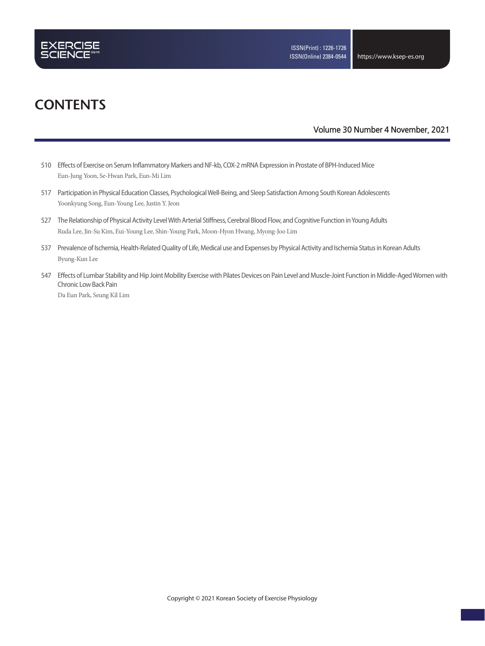

# **CONTENTS**

### **Volume 30 Number 4 November, 2021**

- 510 Effects of Exercise on Serum Inflammatory Markers and NF-kb, COX-2 mRNA Expression in Prostate of BPH-Induced Mice Eun-Jung Yoon, Se-Hwan Park, Eun-Mi Lim
- 517 Participation in Physical Education Classes, Psychological Well-Being, and Sleep Satisfaction Among South Korean Adolescents Yoonkyung Song, Eun-Young Lee, Justin Y. Jeon
- 527 The Relationship of Physical Activity Level With Arterial Stiffness, Cerebral Blood Flow, and Cognitive Function in Young Adults Ruda Lee, Jin-Su Kim, Eui-Young Lee, Shin-Young Park, Moon-Hyon Hwang, Myong-Joo Lim
- 537 Prevalence of Ischemia, Health-Related Quality of Life, Medical use and Expenses by Physical Activity and Ischemia Status in Korean Adults Byung-Kun Lee
- 547 Effects of Lumbar Stability and Hip Joint Mobility Exercise with Pilates Devices on Pain Level and Muscle-Joint Function in Middle-Aged Women with Chronic Low Back Pain

Da Eun Park, Seung Kil Lim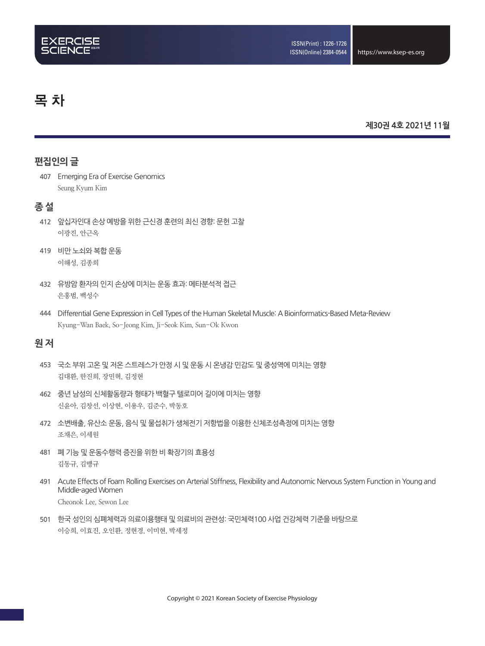# 목 차

### **제30권 4호 2021년 11월**

# **편집인의 글**

**407** Emerging Era of Exercise Genomics Seung Kyum Kim

### **종 설**

- **412** 앞십자인대 손상 예방을 위한 근신경 훈련의 최신 경향: 문헌 고찰 이광진, 안근옥
- **419** 비만 노쇠와 복합 운동 이해성, 김종희
- **432** 유방암 환자의 인지 손상에 미치는 운동 효과: 메타분석적 접근 은홍범, 백성수
- 444 Differential Gene Expression in Cell Types of the Human Skeletal Muscle: A Bioinformatics-Based Meta-Review Kyung-Wan Baek, So-Jeong Kim, Ji-Seok Kim, Sun-Ok Kwon

## **원 저**

- **453** 국소 부위 고온 및 저온 스트레스가 안정 시 및 운동 시 온냉감 민감도 및 중성역에 미치는 영향 김대환, 한진희, 장민혁, 김정현
- **462** 중년 남성의 신체활동량과 형태가 백혈구 텔로미어 길이에 미치는 영향 신윤아, 김창선, 이상현, 이용우, 김준수, 박동호
- **472** 소변배출, 유산소 운동, 음식 및 물섭취가 생체전기 저항법을 이용한 신체조성측정에 미치는 영향 조채은, 이세원
- **481** 폐 기능 및 운동수행력 증진을 위한 비 확장기의 효용성 김동규, 김맹규
- **491** Acute Effects of Foam Rolling Exercises on Arterial Stiffness, Flexibility and Autonomic Nervous System Function in Young and Middle-aged Women Cheonok Lee, Sewon Lee
- **501** 한국 성인의 심폐체력과 의료이용행태 및 의료비의 관련성: 국민체력100 사업 건강체력 기준을 바탕으로 이승희, 이효진, 오인환, 정현경, 이미현, 박세정